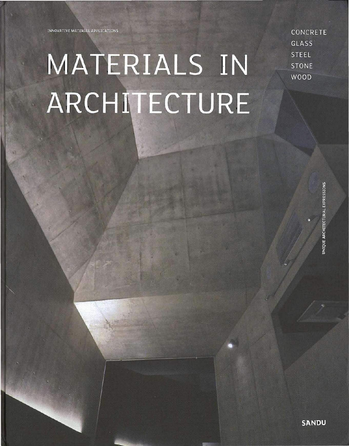# MATERIALS IN ARCHITECTURE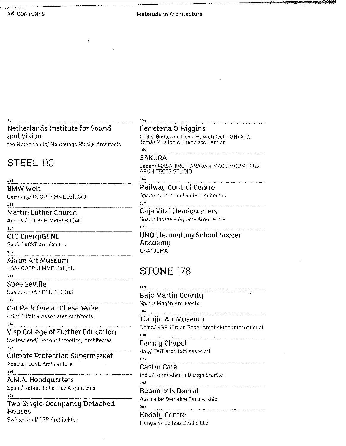106

## 106<br>Netherlands Institute for Sound and Vision

the Netherlands/ Neutelings Riedijk Architects

### **STEEL 110**

112

## <sub>112</sub><br>BMW Welt

Germany/ COOP HIMMELB(L)AU

116

#### -------------------------- Martin luther Church

Austria/ COOP HIMMELB(L)AU 120

#### CIC EnergiGUNE

Spain/ ACXT Arquitectos<br>124<br>Akron Art Museum 124

#### Akron Art Museum

USA/ COOP HIMMELB(L)AU <sup>130</sup>--------~

#### Spee Seville

Spain/ UNIA ARQUITECTOS 134

## 134<br>Car Park One at Chesapeake

USAf Elliott + Associates Architects

#### 138

#### Visp College of Further Education

Switzerland/ Bonnard Woeffray Architectes 142

#### Climate Protection Supermarket

Austria/ LOVE Architecture

#### 146

#### A.M.A. Headquarters

Spain/ Rafael de La-Hoz Arquitectos 150

#### Two Single-Occupancy Detached Houses

Switzerland/ L3P Architekten

#### 154

#### Ferretería O'Higgins

Chile/ Guillermo Hevia H. Architect - GH+A & Tomas Villalon & Francisco

#### 160 SAKURA

Japan/ MASAHIRO HARADA + MAO / MOUNT FUJI ARCHITECTS STUDIO

#### 164

#### Railway Control Centre

Spain/ moreno del valle arquitectos 170

#### Caja Vital Headquarters

Spain/ Mozas + Aguirre 174

#### UNO Elementary School Soccer Academy USA/JGMA

## STONE 178

180

## <sup>180</sup><br>Bajo Martin County

Spain/ Magén Arquitectos 184

#### Tianjin Art Museum

China/ KSP Jürgen Engel Architekten International<br>190<br>Familu Chanel

#### Family Chapel

Italy/ EXiT architetti associati

#### 194 Castro Cafe

India/ Romi Khosla Design Studios

#### 198

#### Beaumaris Dental

Australia/ Demaine Partnership 202

#### ----- Kodaly Centre

Hungary/ Építész Stúdió Ltd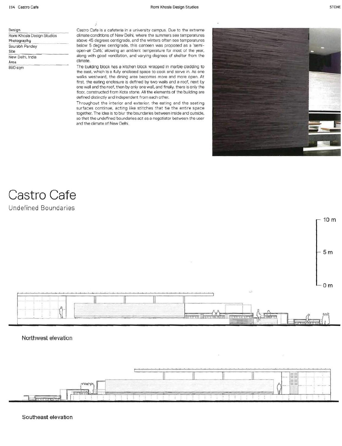#### Design

| Romi Khosla Design Studios |  |
|----------------------------|--|
| Photography                |  |
| Saurabh Pandey             |  |
| Site                       |  |
| New Delhi, India           |  |
| Area                       |  |
| 890 sam                    |  |

Castro Cafe is a cafeteria in a university campus. Due to the extreme climate conditions of New Delhi, where the summers see temperatures above 45 degrees centigrade, and the winters often see temperatures below 5 degree centigrade, this canteen was proposed as a 'semiopen-air Cafe: allowing an ambient temperature for most of the year, along with good ventilation, and varying degrees of shelter from the climate.

The building block has a kitchen block wrapped in marble cladding to the east. which is a fully enclosed space to cook and serve in. As one walks westward, the dining area becomes more and more open. At first, the eating enclosure is defined by two walls and a roof, next by one wall and the roof, then by only one wall, and finally, there is only the fioor, constructed from Kota stone. All the elements of the building are defined distinctly and independent from each other.

Throughout the interior and exterior, the eating and the seating surfaces continue, acting like stitches that tie the entire space together. The idea is to blur the boundaries between inside and outside, so that the undefined boundaries act as a negotiator between the user and the climate of New Delhi.



## **Castro Cafe**

Undefined Boundaries



#### **Northwest elevation**



**Southeast elevation** 

**10 m**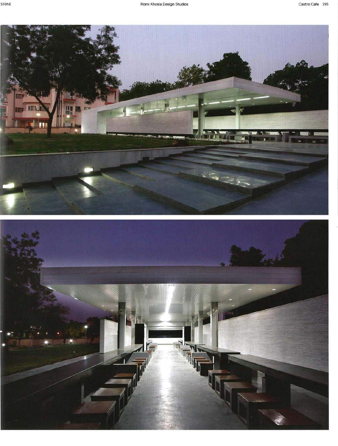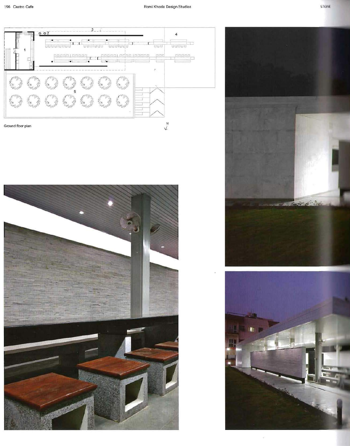Romi Khosla Design Studios